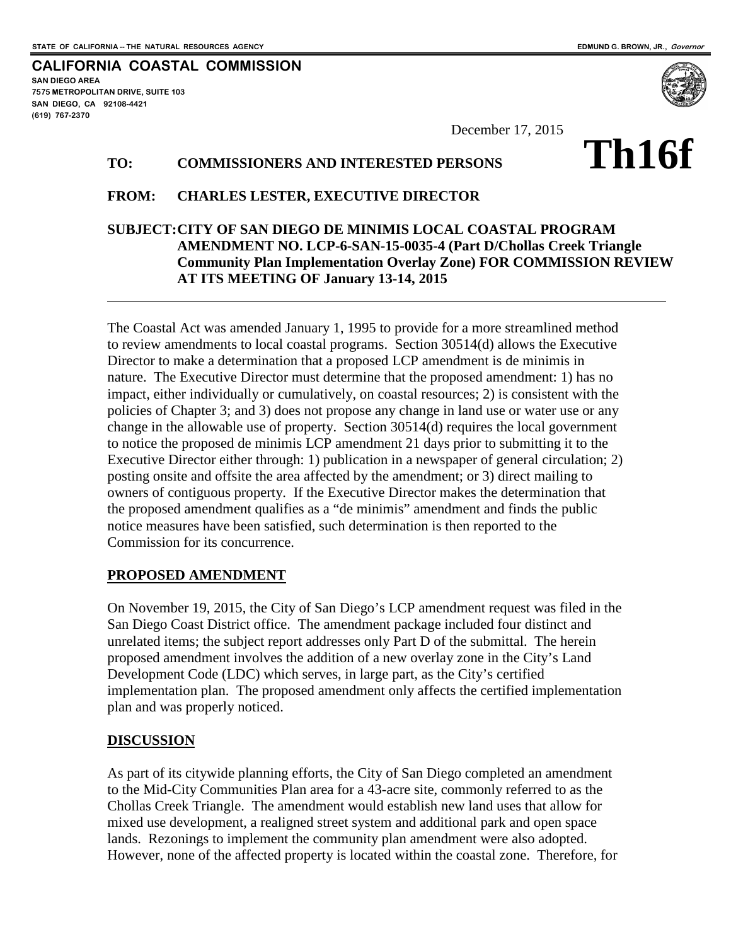**SAN DIEGO AREA**

**(619) 767-2370**

**7575 METROPOLITAN DRIVE, SUITE 103 SAN DIEGO, CA 92108-4421**

**CALIFORNIA COASTAL COMMISSION**

December 17, 2015

#### **TO: COMMISSIONERS AND INTERESTED PERSONS**

# **Th16f**

#### **FROM: CHARLES LESTER, EXECUTIVE DIRECTOR**

#### **SUBJECT:CITY OF SAN DIEGO DE MINIMIS LOCAL COASTAL PROGRAM AMENDMENT NO. LCP-6-SAN-15-0035-4 (Part D/Chollas Creek Triangle Community Plan Implementation Overlay Zone) FOR COMMISSION REVIEW AT ITS MEETING OF January 13-14, 2015**

The Coastal Act was amended January 1, 1995 to provide for a more streamlined method to review amendments to local coastal programs. Section 30514(d) allows the Executive Director to make a determination that a proposed LCP amendment is de minimis in nature. The Executive Director must determine that the proposed amendment: 1) has no impact, either individually or cumulatively, on coastal resources; 2) is consistent with the policies of Chapter 3; and 3) does not propose any change in land use or water use or any change in the allowable use of property. Section 30514(d) requires the local government to notice the proposed de minimis LCP amendment 21 days prior to submitting it to the Executive Director either through: 1) publication in a newspaper of general circulation; 2) posting onsite and offsite the area affected by the amendment; or 3) direct mailing to owners of contiguous property. If the Executive Director makes the determination that the proposed amendment qualifies as a "de minimis" amendment and finds the public notice measures have been satisfied, such determination is then reported to the Commission for its concurrence.

#### **PROPOSED AMENDMENT**

On November 19, 2015, the City of San Diego's LCP amendment request was filed in the San Diego Coast District office. The amendment package included four distinct and unrelated items; the subject report addresses only Part D of the submittal. The herein proposed amendment involves the addition of a new overlay zone in the City's Land Development Code (LDC) which serves, in large part, as the City's certified implementation plan. The proposed amendment only affects the certified implementation plan and was properly noticed.

#### **DISCUSSION**

As part of its citywide planning efforts, the City of San Diego completed an amendment to the Mid-City Communities Plan area for a 43-acre site, commonly referred to as the Chollas Creek Triangle. The amendment would establish new land uses that allow for mixed use development, a realigned street system and additional park and open space lands. Rezonings to implement the community plan amendment were also adopted. However, none of the affected property is located within the coastal zone. Therefore, for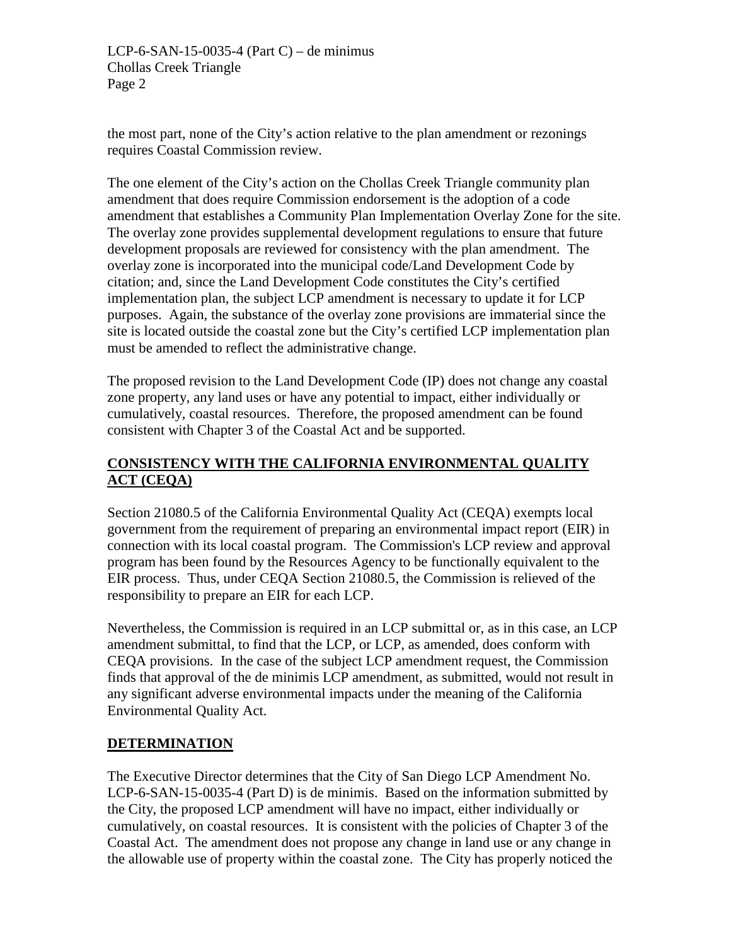the most part, none of the City's action relative to the plan amendment or rezonings requires Coastal Commission review.

The one element of the City's action on the Chollas Creek Triangle community plan amendment that does require Commission endorsement is the adoption of a code amendment that establishes a Community Plan Implementation Overlay Zone for the site. The overlay zone provides supplemental development regulations to ensure that future development proposals are reviewed for consistency with the plan amendment. The overlay zone is incorporated into the municipal code/Land Development Code by citation; and, since the Land Development Code constitutes the City's certified implementation plan, the subject LCP amendment is necessary to update it for LCP purposes. Again, the substance of the overlay zone provisions are immaterial since the site is located outside the coastal zone but the City's certified LCP implementation plan must be amended to reflect the administrative change.

The proposed revision to the Land Development Code (IP) does not change any coastal zone property, any land uses or have any potential to impact, either individually or cumulatively, coastal resources. Therefore, the proposed amendment can be found consistent with Chapter 3 of the Coastal Act and be supported.

## **CONSISTENCY WITH THE CALIFORNIA ENVIRONMENTAL QUALITY ACT (CEQA)**

Section 21080.5 of the California Environmental Quality Act (CEQA) exempts local government from the requirement of preparing an environmental impact report (EIR) in connection with its local coastal program. The Commission's LCP review and approval program has been found by the Resources Agency to be functionally equivalent to the EIR process. Thus, under CEQA Section 21080.5, the Commission is relieved of the responsibility to prepare an EIR for each LCP.

Nevertheless, the Commission is required in an LCP submittal or, as in this case, an LCP amendment submittal, to find that the LCP, or LCP, as amended, does conform with CEQA provisions. In the case of the subject LCP amendment request, the Commission finds that approval of the de minimis LCP amendment, as submitted, would not result in any significant adverse environmental impacts under the meaning of the California Environmental Quality Act.

#### **DETERMINATION**

The Executive Director determines that the City of San Diego LCP Amendment No. LCP-6-SAN-15-0035-4 (Part D) is de minimis. Based on the information submitted by the City, the proposed LCP amendment will have no impact, either individually or cumulatively, on coastal resources. It is consistent with the policies of Chapter 3 of the Coastal Act. The amendment does not propose any change in land use or any change in the allowable use of property within the coastal zone. The City has properly noticed the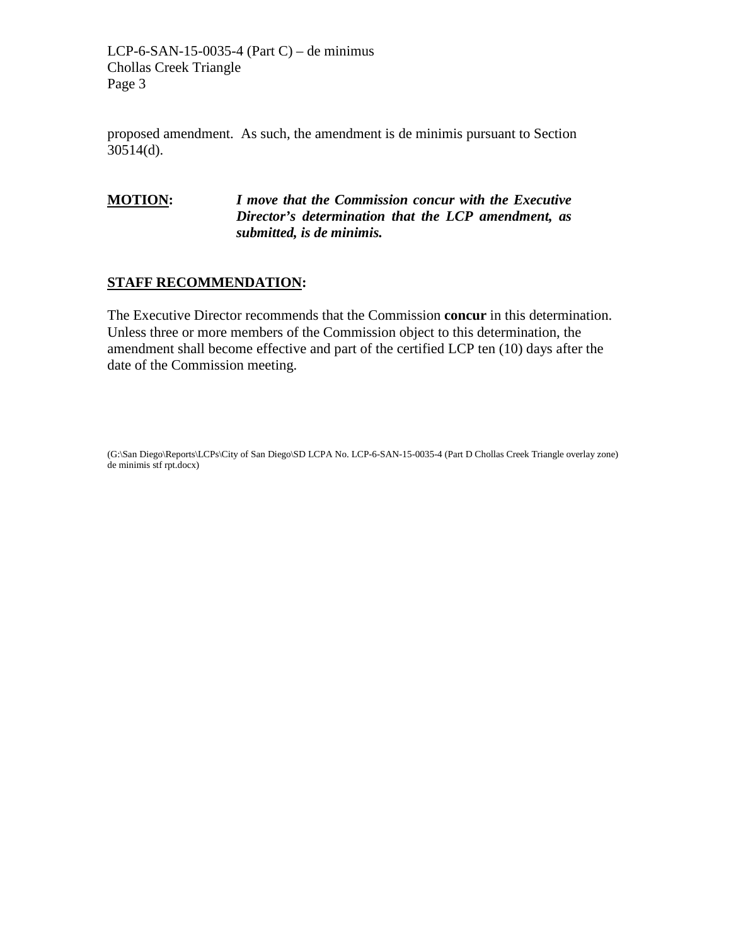LCP-6-SAN-15-0035-4 (Part C) – de minimus Chollas Creek Triangle Page 3

proposed amendment. As such, the amendment is de minimis pursuant to Section 30514(d).

#### **MOTION:** *I move that the Commission concur with the Executive Director's determination that the LCP amendment, as submitted, is de minimis.*

#### **STAFF RECOMMENDATION:**

The Executive Director recommends that the Commission **concur** in this determination. Unless three or more members of the Commission object to this determination, the amendment shall become effective and part of the certified LCP ten (10) days after the date of the Commission meeting.

(G:\San Diego\Reports\LCPs\City of San Diego\SD LCPA No. LCP-6-SAN-15-0035-4 (Part D Chollas Creek Triangle overlay zone) de minimis stf rpt.docx)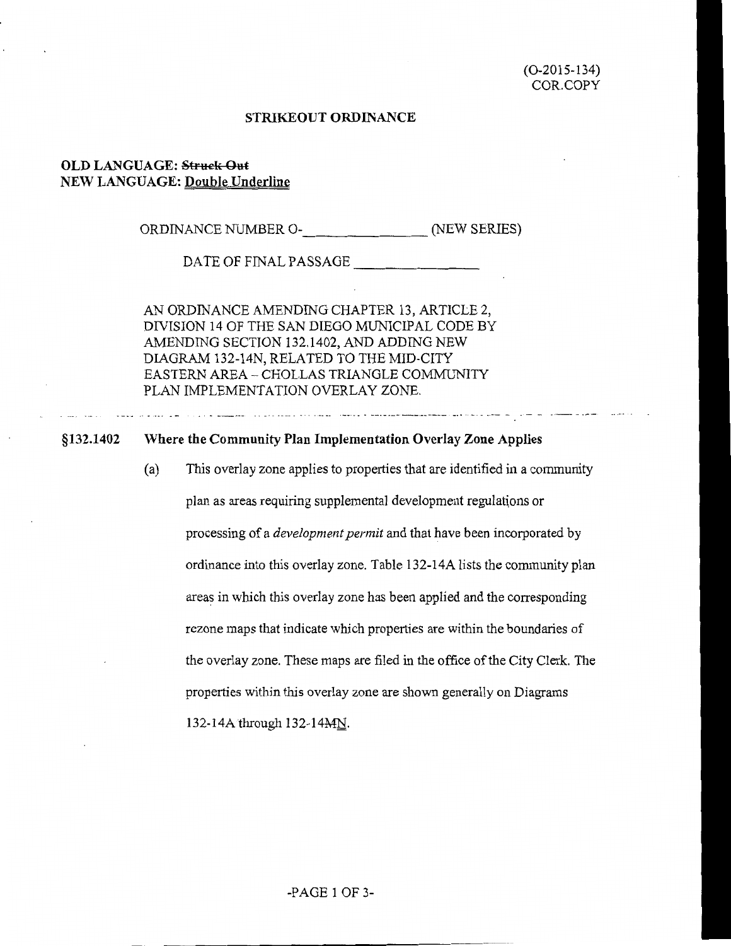#### **STRIKEOUT ORDINANCE**

#### **OLD LANGUAGE: Struck Out NEW LANGUAGE: Double Underline**

ORDINANCE NUMBER 0-\_\_\_\_\_\_\_ (NEW SERIES)

DATE OF FINAL PASSAGE

AN ORDINANCE AMENDING CHAPTER 13, ARTICLE 2, DIVISION 14 OF THE SAN DIEGO MUNICIPAL CODE BY AMENDING SECTION 132.1402, AND ADDING NEW DIAGRAM 132-14N, RELATED TO THE MID-CITY EASTERN AREA- CHOLLAS TRIANGLE COMMUNITY PLAN IMPLEMENTATION OVERLAY ZONE.

#### **§132.1402 \Vhere the Community Plan Implementation Overlay Zone Applies**

(a) This overlay zone applies to properties that are identified in a community plan as areas requiring supplemental development regulations or processing of a *development permit* and that have been incorporated by ordinance into this overlay zone. Table 132-14A lists the community plan areas in which this overlay zone has been applied and the corresponding rezone maps that indicate which properties are within the boundaries of the overlay zone. These maps are filed in the office of the City Clerk. The properties within this overlay zone are shown generally on Diagrams 132-14Athrough 132-14MN.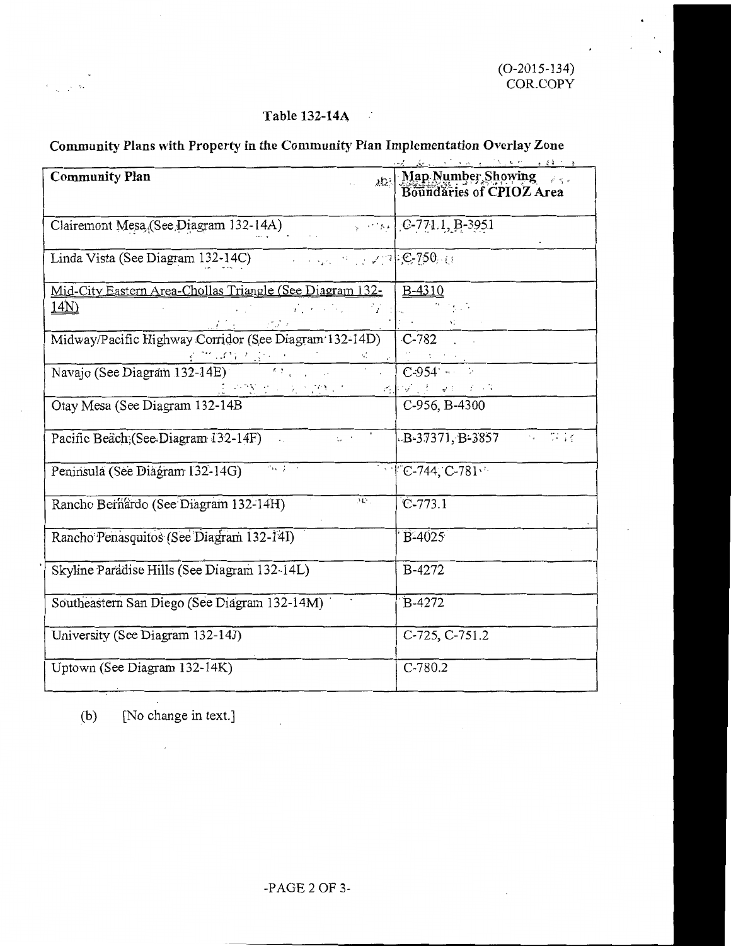#### **Table 132-141\**  - 2

#### **Community Plans with Property in the Community Plan Implementation Overlay Zone**

| and the contract of the state of the state of the                                                                                                                             |                                                |  |  |  |  |
|-------------------------------------------------------------------------------------------------------------------------------------------------------------------------------|------------------------------------------------|--|--|--|--|
| <b>Community Plan</b>                                                                                                                                                         | Map Number Showing<br>Boundaries of CPIOZ Area |  |  |  |  |
| Clairemont Mesa (See Diagram 132-14A)                                                                                                                                         | $\sim$ $\sim$ $\sim$ [C-771.1, B-3951]         |  |  |  |  |
|                                                                                                                                                                               |                                                |  |  |  |  |
| Mid-City Eastern Area-Chollas Triangle (See Diagram 132-                                                                                                                      | B-4310                                         |  |  |  |  |
| <u>14N)</u><br>$\mathcal{L} = \{ \mathbf{y}_1, \mathbf{y}_2, \ldots, \mathbf{y}_N \}$<br>おんこう アプラー                                                                            | $\mathcal{G} \subset \mathcal{G}$              |  |  |  |  |
| Midway/Pacific Highway Corridor (See Diagram 132-14D)<br><u> 1999 - 1999 - 1999 - 1999 - 1999 - 1999 - 1999 - 1999 - 1999 - 1999 - 1999 - 1999 - 1999 - 1999 - 1999 - 199</u> | $ C-782$                                       |  |  |  |  |
| Navajo (See Diagram 132-14E)<br>(2) やW せん えんぴい ケート                                                                                                                            | $C-954$<br>网络汉语 双红 不可                          |  |  |  |  |
| Otay Mesa (See Diagram 132-14B)                                                                                                                                               | C-956, B-4300                                  |  |  |  |  |
| Pacific Beach; (See Diagram 132-14F)                                                                                                                                          | $B-37371, B-3857$                              |  |  |  |  |
| $\overline{(\alpha,\beta)}$ .<br>Peninsula (See Diagram 132-14G)                                                                                                              | $\sqrt{C}$ -744, $C$ -781                      |  |  |  |  |
| $\overline{\mathcal{M}^+}$<br>Rancho Bernardo (See Diagram 132-14H)                                                                                                           | $C-773.1$                                      |  |  |  |  |
| Rancho Penasquitos (See Diagram 132-14I)                                                                                                                                      | B-4025                                         |  |  |  |  |
| Skyline Paradise Hills (See Diagram 132-14L)                                                                                                                                  | B-4272                                         |  |  |  |  |
| Southeastern San Diego (See Diagram 132-14M)                                                                                                                                  | B-4272                                         |  |  |  |  |
| University (See Diagram 132-14J)                                                                                                                                              | C-725, C-751.2                                 |  |  |  |  |
| Uptown (See Diagram 132-14K)                                                                                                                                                  | $C-780.2$                                      |  |  |  |  |

(b) [No change in text.]

 $\overline{\phantom{a}}$ 

 $\zeta \in \mathbb{R}^{n \times 2d}$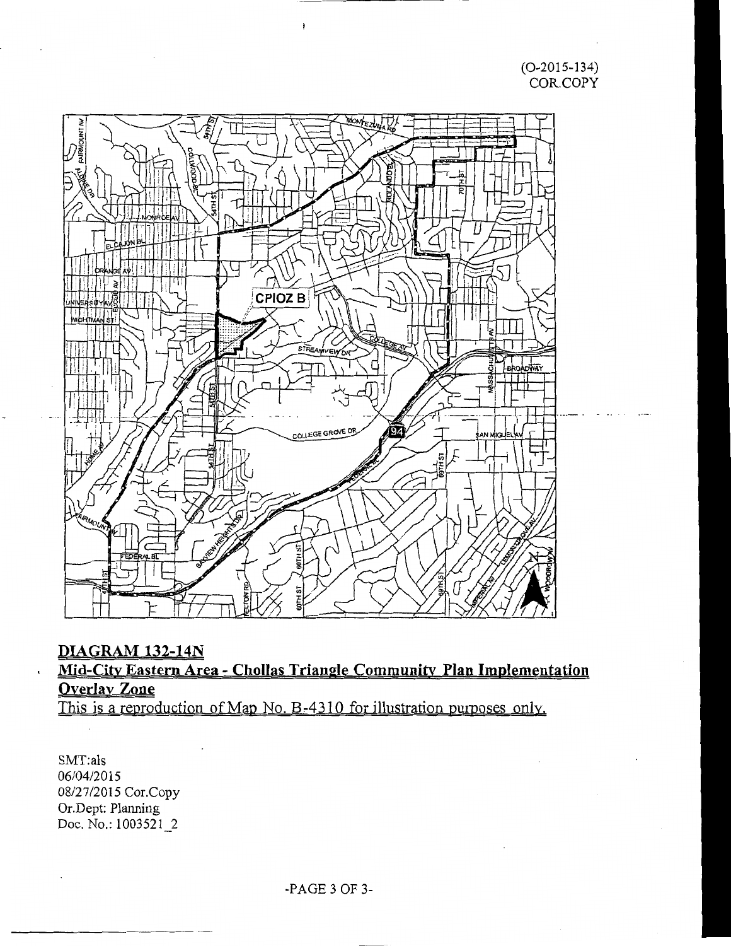(0-2015-134) COR. COPY



## **DIAGRAM 132-14N**

## **Mid-City Eastern Area - Chollas Triangle Community Plan Implementation Overlay Zone**

This is a reproduction of Map No. B-4310 for illustration purposes only.

SMT:als 06/04/2015 08/27/2015 Cor.Copy Or.Dept: Planning Doc. No.: 1003521\_2